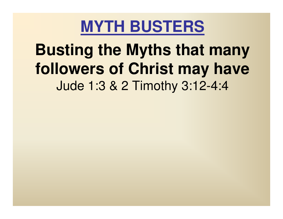### **Busting the Myths that many followers of Christ may have**Jude 1:3 & 2 Timothy 3:12-4:4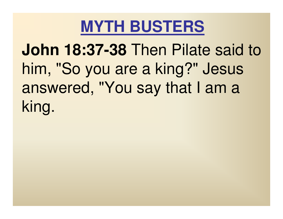**John 18:37-38** Then Pilate said to him, "So you are a king?" Jesus answered, "You say that I am a king.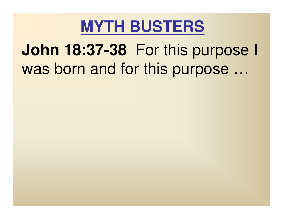# **John 18:37-38** For this purpose I was born and for this purpose ...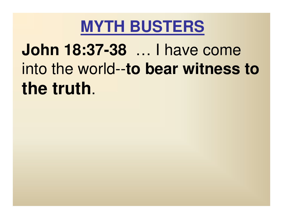**John 18:37-38** … I have come into the world--**to bear witness to the truth**.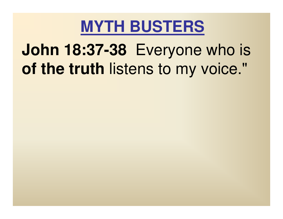# **John 18:37-38** Everyone who is **of the truth** listens to my voice."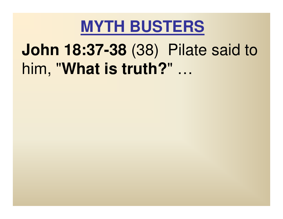# **John 18:37-38** (38) Pilate said to him, "**What is truth?**" …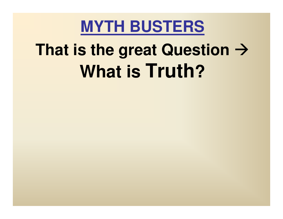# **That is the great Question What is Truth?**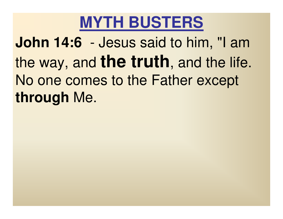**John 14:6** - Jesus said to him, "I am the way, and **the truth**, and the life. No one comes to the Father except **through** Me.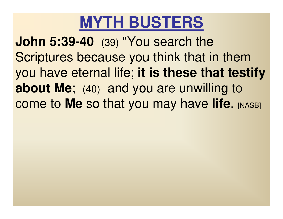**John 5:39-40** (39) "You search the Scriptures because you think that in them you have eternal life; **it is these that testify about Me**; (40) and you are unwilling to come to Me so that you may have life. [NASB]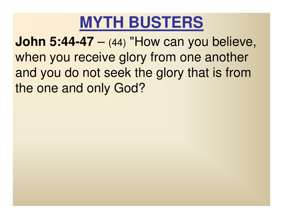**John 5:44-47** when you receive glory from one another (44) "How can you believe, and you do not seek the glory that is from the one and only God?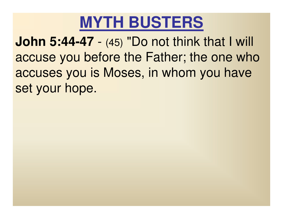**John 5:44-47** - (45) "Do not thin accuse you before the Father; the one who - (45) "Do not think that I will accuses you is Moses, in whom you have set your hope.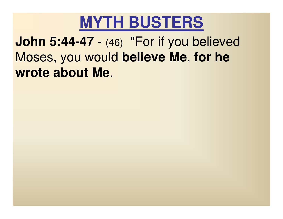

 **John 5:44-47** Moses, you would **believe Me**, **for he** -- (46) "For if you believed **wrote about Me**.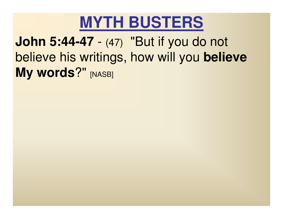

 **John 5:44-47** believe his writings, how will you **believe** - (47) "But if you do not **My words?"** [NASB]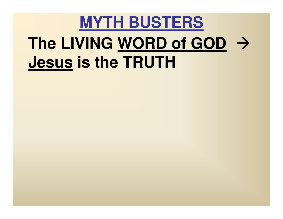# **MYTH BUSTERS The LIVING WORD of GOD Jesus is the TRUTH**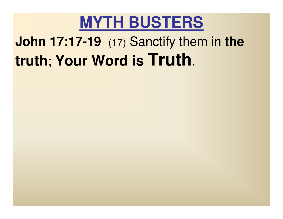## **John 17:17-19** (17) Sanctify them in **the truth**; **Your Word is Truth**.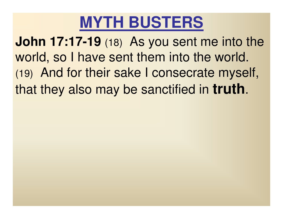**John 17:17-19** (18) As you sent me into the world, so I have sent them into the world. (19) And for their sake I consecrate myself, that they also may be sanctified in **truth**.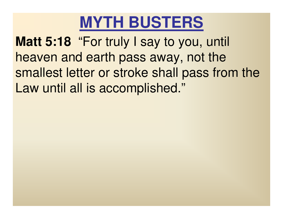

 **Matt 5:18** "For truly I say to you, until heaven and earth pass away, not the smallest letter or stroke shall pass from the Law until all is accomplished."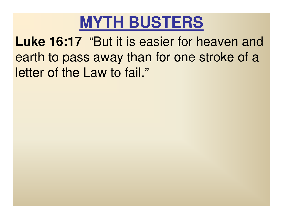

 **Luke 16:17** "But it is easier for heaven and earth to pass away than for one stroke of a letter of the Law to fail."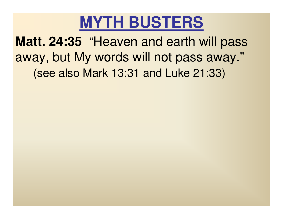

 **Matt. 24:35** "Heaven and earth will pass away, but My words will not pass away."(see also Mark 13:31 and Luke 21:33)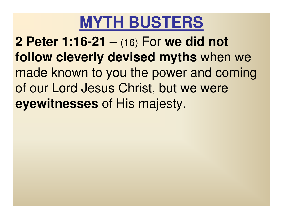**2 Peter 1:16-21 follow cleverly devised myths** when we – (16) For **we did not**  made known to you the power and coming of our Lord Jesus Christ, but we were **eyewitnesses** of His majesty.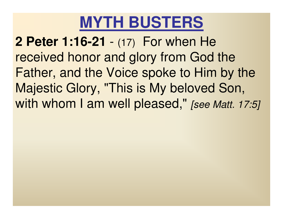**2 Peter 1:16-21** received honor and glory from God the (17) For when He Father, and the Voice spoke to Him by the Majestic Glory, "This is My beloved Son, with whom I am well pleased," [see Matt. 17:5]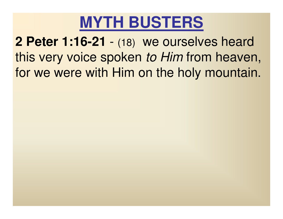

 **2 Peter 1:16-21**this very voice spoken *to Him* from heaven,<br>for we were with Him on the hely mountain (18) we ourselves heard for we were with Him on the holy mountain.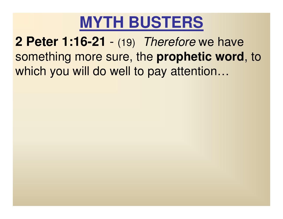

 **2 Peter 1:16-21** something more sure, the **prophetic word**, to - (19) Therefore we have which you will do well to pay attention…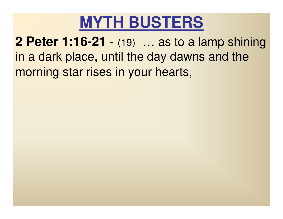

 **2 Peter 1:16-21** in a dark place, until the day dawns and the (19) …... as to a lamp shining.<br>Aay dawns and the morning star rises in your hearts,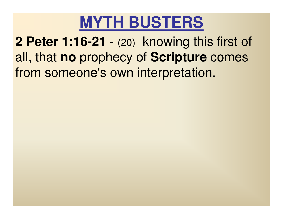

 **2 Peter 1:16-21** all, that **no** prophecy of **Scripture** comes (20) knowing this first of from someone's own interpretation.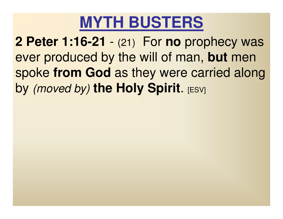**2 Peter 1:16-21** ever produced by the will of man, **but** men (21) For **no** prophecy was spoke **from God** as they were carried along **by** *(moved by)* **the Holy Spirit. [ESV]**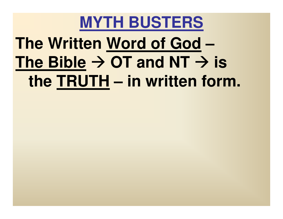# **MYTH BUSTERS The Written Word of GodThe Bible**  $\rightarrow$  **OT and NT**  $\rightarrow$  **is**<br>**The TRUTH** — in written form **the TRUTH – in written form.**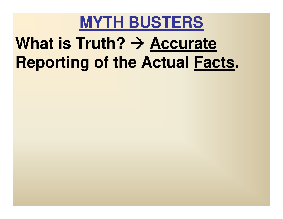# **What is Truth? > Accurate**<br>**Renorting of the Actual Fac Reporting of the Actual Facts**

- 
- 
- - -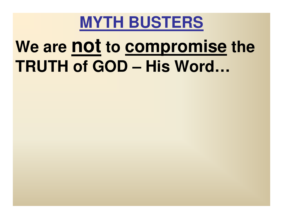

# **We are not to compromise the TRUTH of GOD – His Word…**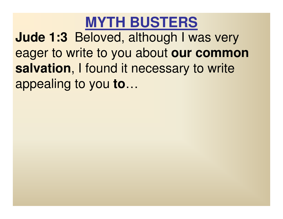**Jude 1:3** Beloved, although I was very eager to write to you about **our common salvation**, I found it necessary to write appealing to you **to**…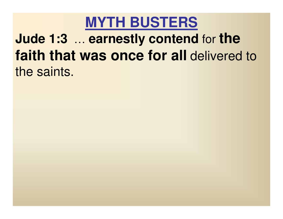#### **Jude 1:3**… **faith that was once for all** delivered to **earnestly contend** for **the**  the saints.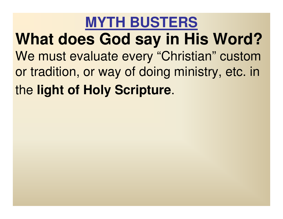**MYTH BUSTERSWhat does God say in His Word?**We must evaluate every "Christian" custom or tradition, or way of doing ministry, etc. in the **light of Holy Scripture**.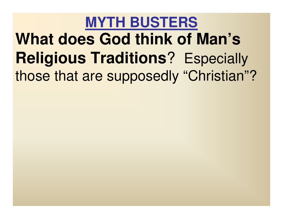# **MYTH BUSTERSWhat does God think of Man's Religious Traditions**? Especially those that are supposedly "Christian"?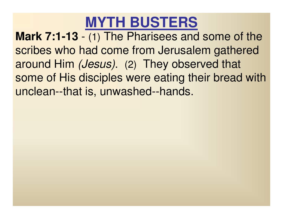**Mark 7:1-13** scribes who had come from Jerusalem gathered - (1) The Pharisees and some of the around Him (Jesus). (2) They observed that some of His disciples were eating their bread with unclean--that is, unwashed--hands.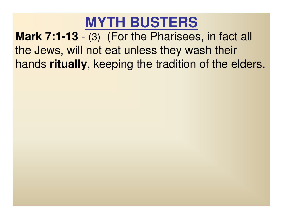**Mark 7:1-13** the Jews, will not eat unless they wash their - (3) (For the Pharisees, in fact all hands **ritually**, keeping the tradition of the elders.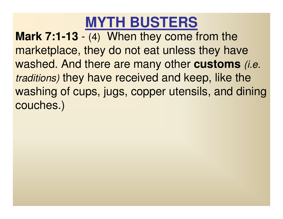**Mark 7:1-13** marketplace, they do not eat unless they have - (4) When they come from the washed. And there are many other **customs** (i.e. traditions) they have received and keep, like the washing of cups, jugs, copper utensils, and dining couches.)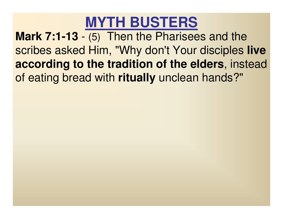**Mark 7:1-13** scribes asked Him, "Why don't Your disciples **live** - (5) Then the Pharisees and the **according to the tradition of the elders**, instead of eating bread with **ritually** unclean hands?"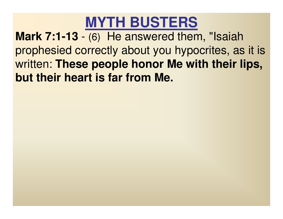**Mark 7:1-13** prophesied correctly about you hypocrites, as it is- (6) He answered them, "Isaiah written: **These people honor Me with their lips, but their heart is far from Me.**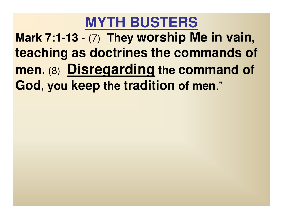**Mark 7:1-13 teaching as doctrines the commands of** - (7) **They worship Me in vain, men. God, you keep the tradition of men**."(8) **Disregarding the command of**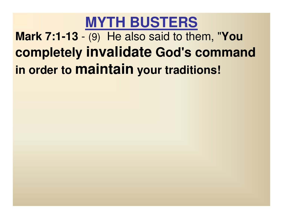#### **MYTH BUSTERSMark 7:1-13 completely invalidate God's command** - (9) He also said to them, "**You in order to maintain your traditions!**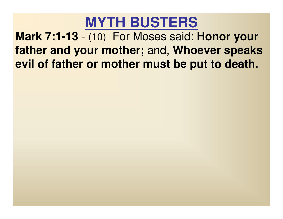**Mark 7:1-13 father and your mother;** and, **Whoever speaks**  - (10) For Moses said: **Honor your evil of father or mother must be put to death.**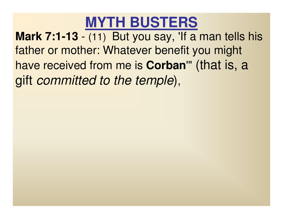**Mark 7:1-13** father or mother: Whatever benefit you might - (11) But you say, 'If a man tells his have received from me is **Corban**'" (that is, a gift committed to the temple),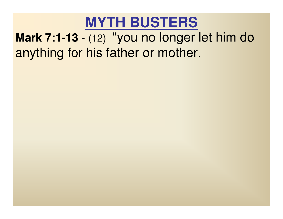#### **Mark 7:1-13** anything for his father or mother.-(12) "you no longer let him do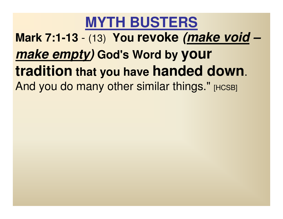**Mark 7:1-13**- (13) **You revoke (make void–make empty) God's Word by your tradition that you have handed down**. And you do many other similar things." [HCSB]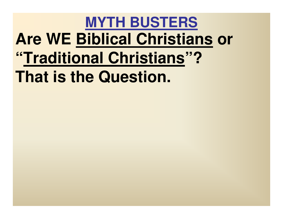#### **MYTH BUSTERSAre WE Biblical Christians or "Traditional Christians"? That is the Question.**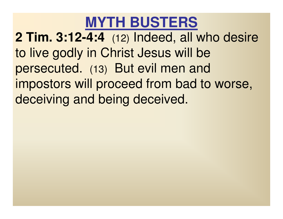**2 Tim. 3:12-4:4** (12) Indeed, all who desire to live godly in Christ Jesus will be persecuted. (13) But evil men and impostors will proceed from bad to worse, deceiving and being deceived.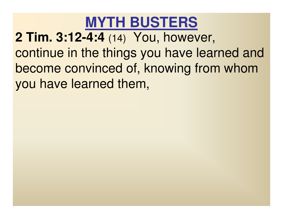**2 Tim. 3:12-4:4** (14) You, however, continue in the things you have learned and become convinced of, knowing from whom you have learned them,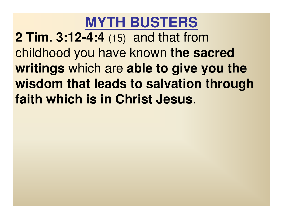**2 Tim. 3:12-4:4** (15) and that from childhood you have known **the sacred writings** which are **able to give you the wisdom that leads to salvation through faith which is in Christ Jesus**.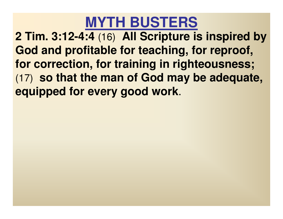**2 Tim. 3:12-4:4** (16) **All Scripture is inspired by God and profitable for teaching, for reproof, for correction, for training in righteousness;** (17) **so that the man of God may be adequate, equipped for every good work**.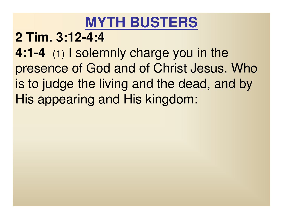### **2 Tim. 3:12-4:4**

 **4:1-4** (1) I solemnly charge you in the presence of God and of Christ Jesus, Who is to judge the living and the dead, and by His appearing and His kingdom: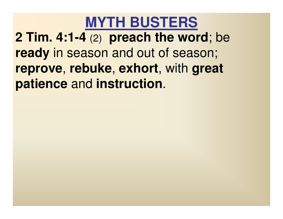**2 Tim. 4:1-4** (2) **preach the word**; be **ready** in season and out of season; **reprove**, **rebuke**, **exhort**, with **great patience** and **instruction**.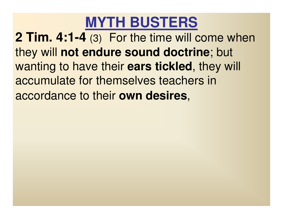**2 Tim. 4:1-4** (3) For the time will come when they will **not endure sound doctrine**; but wanting to have their **ears tickled**, they will accumulate for themselves teachers in accordance to their **own desires**,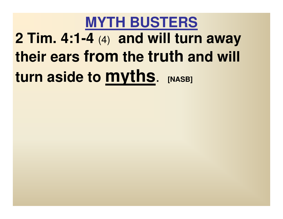# **MYTH BUSTERS2 Tim. 4:1-4** (4) **and will turn away their ears from the truth and will turn aside to myths**. **[NASB]**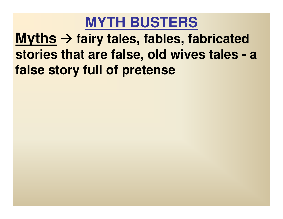### **Myths fairy tales, fables, fabricated stories that are false, old wives tales - <sup>a</sup> false story full of pretense**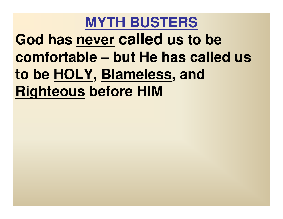**MYTH BUSTERS God has never called us to be comfortable – but He has called us to be HOLY, Blameless, and Righteous before HIM**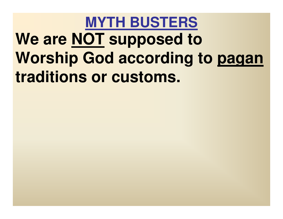# **MYTH BUSTERSWe are NOT supposed to Worship God according to pagantraditions or customs.**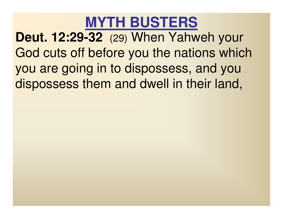**Deut. 12:29-32** (29) When Yahweh your God cuts off before you the nations which you are going in to dispossess, and you dispossess them and dwell in their land,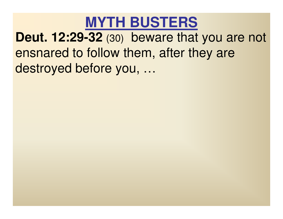### **MYTH BUSTERSDeut. 12:29-32** (30) beware that you are not ensnared to follow them, after they are destroyed before you, …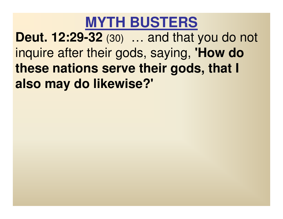**Deut. 12:29-32** (30) … and that you do not inquire after their gods, saying, **'How do these nations serve their gods, that I also may do likewise?'**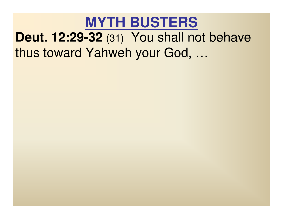### **MYTH BUSTERSDeut. 12:29-32** (31) You shall not behave thus toward Yahweh your God, …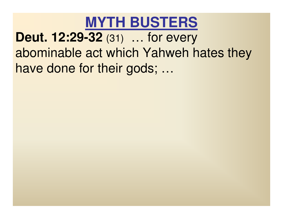**MYTH BUSTERSDeut. 12:29-32** (31) … for every abominable act which Yahweh hates they have done for their gods; …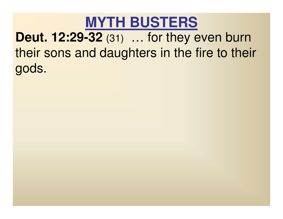### **MYTH BUSTERSDeut. 12:29-32** (31) … for they even burn their sons and daughters in the fire to their gods.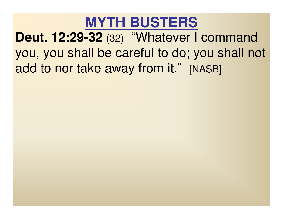**MYTH BUSTERSDeut. 12:29-32** (32) "Whatever I command you, you shall be careful to do; you shall not add to nor take away from it." [NASB]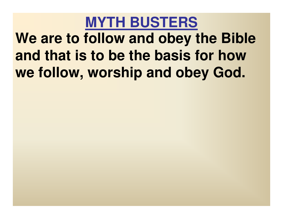# **MYTH BUSTERSWe are to follow and obey the Bible and that is to be the basis for how we follow, worship and obey God.**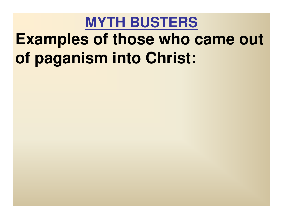# **MYTH BUSTERSExamples of those who came out of paganism into Christ:**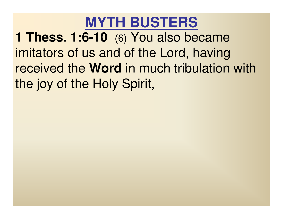**1 Thess. 1:6-10** (6) You also became imitators of us and of the Lord, having received the **Word** in much tribulation with the joy of the Holy Spirit,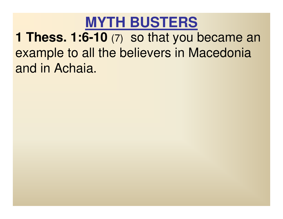### **MYTH BUSTERS1 Thess. 1:6-10** (7) so that you became an example to all the believers in Macedonia and in Achaia.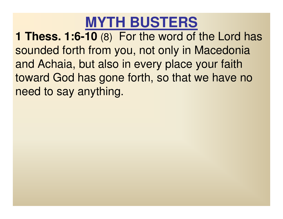**1 Thess. 1:6-10** (8) For the word of the Lord has sounded forth from you, not only in Macedonia and Achaia, but also in every place your faith toward God has gone forth, so that we have no need to say anything.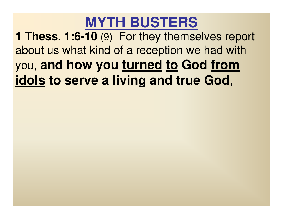**1 Thess. 1:6-10** (9) For they themselves report about us what kind of a reception we had with you, **and how you turned to God fromidols to serve a living and true God**,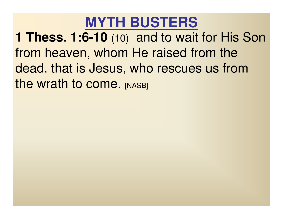**1 Thess. 1:6-10** (10) and to wait for His Son from heaven, whom He raised from the dead, that is Jesus, who rescues us from the wrath to come. [NASB]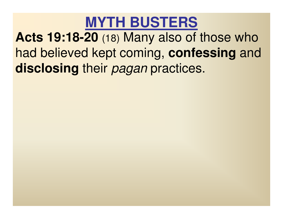**Acts 19:18-20** (18) Many also of those who had believed kept coming, **confessing** and **disclosing** their pagan practices.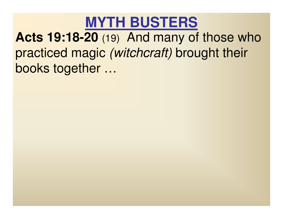#### **MYTH BUSTERSActs 19:18-20** (19) And many of those who practiced magic *(witchcraft)* brought their books together …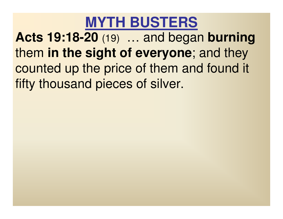**Acts 19:18-20** (19) … and began **burning** them **in the sight of everyone**; and they counted up the price of them and found it fifty thousand pieces of silver.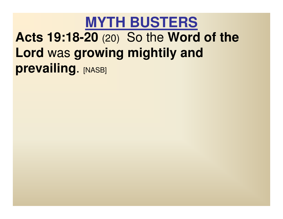#### **MYTH BUSTERSActs 19:18-20** (20) So the **Word of the Lord** was **growing mightily and prevailing.** [NASB]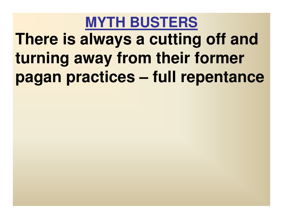# **MYTH BUSTERSThere is always a cutting off and turning away from their former pagan practices – full repentance**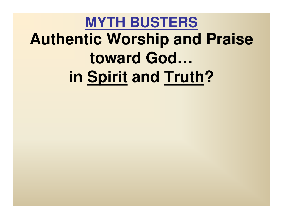# **MYTH BUSTERSAuthentic Worship and Praise toward God…in Spirit and Truth?**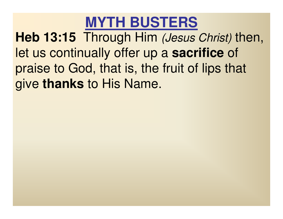**Heb 13:15** Through Him (Jesus Christ) then, let us continually offer up a **sacrifice** of praise to God, that is, the fruit of lips that give **thanks** to His Name.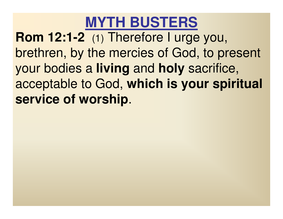**Rom 12:1-2** (1) Therefore I urge you, brethren, by the mercies of God, to present your bodies a **living** and **holy** sacrifice, acceptable to God, **which is your spiritual service of worship**.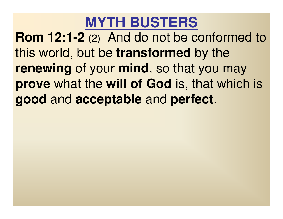**Rom 12:1-2** (2) And do not be conformed to this world, but be **transformed** by the **renewing** of your **mind**, so that you may **prove** what the **will of God** is, that which is **good** and **acceptable** and **perfect**.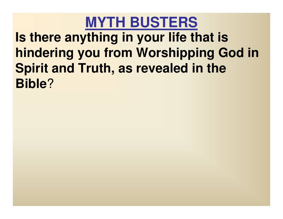#### **MYTH BUSTERSIs there anything in your life that is hindering you from Worshipping God in Spirit and Truth, as revealed in the Bible**?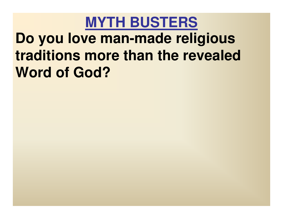### **MYTH BUSTERSDo you love man-made religious traditions more than the revealed Word of God?**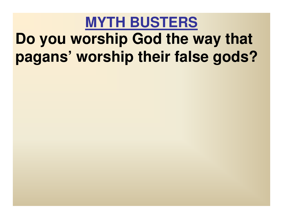## **MYTH BUSTERSDo you worship God the way that pagans' worship their false gods?**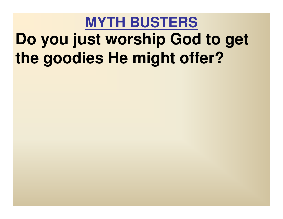# **MYTH BUSTERSDo you just worship God to get the goodies He might offer?**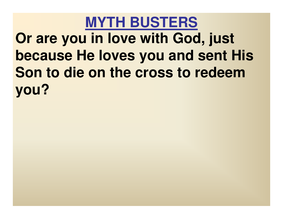**MYTH BUSTERSOr are you in love with God, just because He loves you and sent His Son to die on the cross to redeem you?**